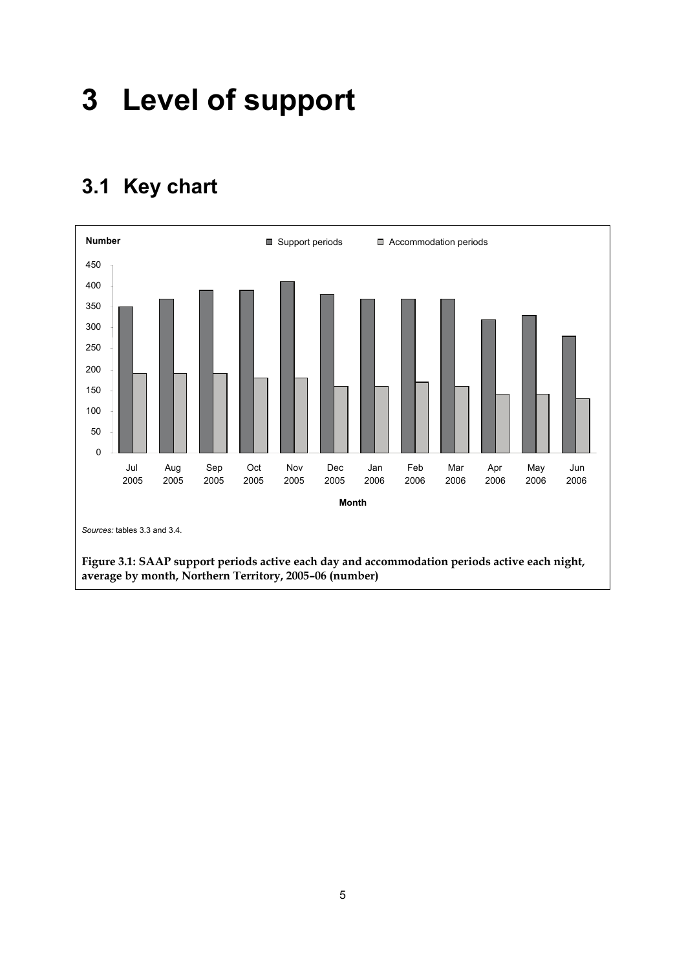# **3 Level of support**

# **3.1 Key chart**

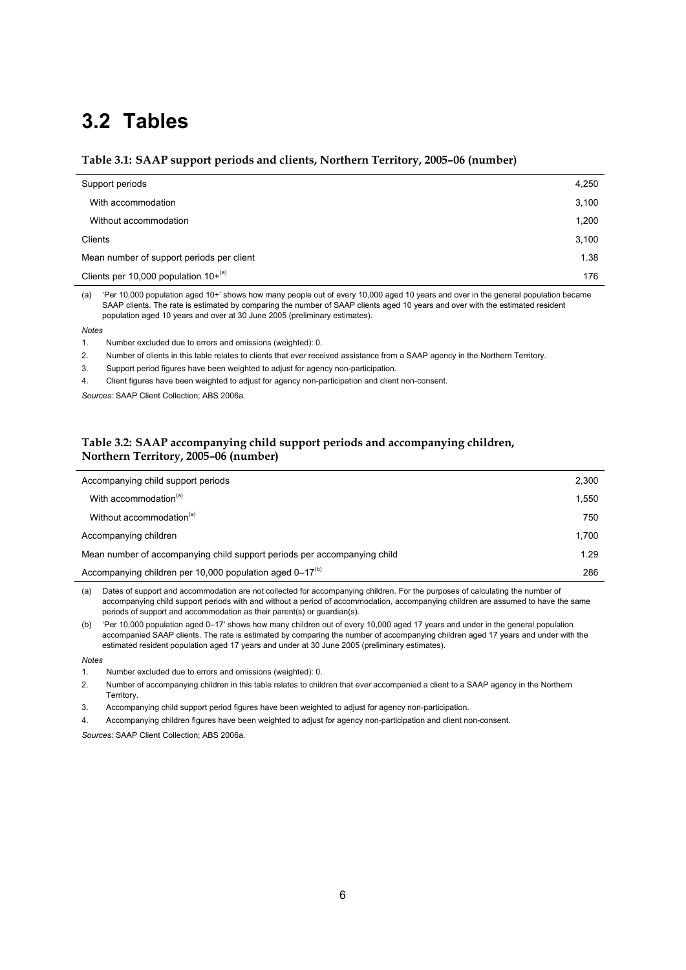# **3.2 Tables**

### **Table 3.1: SAAP support periods and clients, Northern Territory, 2005–06 (number)**

| Support periods                           | 4,250 |
|-------------------------------------------|-------|
| With accommodation                        | 3,100 |
| Without accommodation                     | 1,200 |
| Clients                                   | 3,100 |
| Mean number of support periods per client | 1.38  |
| Clients per 10,000 population $10+^{(a)}$ | 176   |

(a) 'Per 10,000 population aged 10+' shows how many people out of every 10,000 aged 10 years and over in the general population became SAAP clients. The rate is estimated by comparing the number of SAAP clients aged 10 years and over with the estimated resident population aged 10 years and over at 30 June 2005 (preliminary estimates).

#### *Notes*

- 1. Number excluded due to errors and omissions (weighted): 0.
- 2. Number of clients in this table relates to clients that *ever* received assistance from a SAAP agency in the Northern Territory.
- 3. Support period figures have been weighted to adjust for agency non-participation.
- 4. Client figures have been weighted to adjust for agency non-participation and client non-consent.

*Sources:* SAAP Client Collection; ABS 2006a.

### **Table 3.2: SAAP accompanying child support periods and accompanying children, Northern Territory, 2005–06 (number)**

| Accompanying child support periods                                       | 2,300 |
|--------------------------------------------------------------------------|-------|
| With accommodation <sup>(a)</sup>                                        | 1,550 |
| Without accommodation <sup>(a)</sup>                                     | 750   |
| Accompanying children                                                    | 1.700 |
| Mean number of accompanying child support periods per accompanying child | 1.29  |
| Accompanying children per 10,000 population aged 0-17 <sup>(b)</sup>     | 286   |

(a) Dates of support and accommodation are not collected for accompanying children. For the purposes of calculating the number of accompanying child support periods with and without a period of accommodation, accompanying children are assumed to have the same periods of support and accommodation as their parent(s) or guardian(s).

(b) 'Per 10,000 population aged 0–17' shows how many children out of every 10,000 aged 17 years and under in the general population accompanied SAAP clients. The rate is estimated by comparing the number of accompanying children aged 17 years and under with the estimated resident population aged 17 years and under at 30 June 2005 (preliminary estimates).

#### *Notes*

2. Number of accompanying children in this table relates to children that *ever* accompanied a client to a SAAP agency in the Northern **Territory** 

3. Accompanying child support period figures have been weighted to adjust for agency non-participation.

4. Accompanying children figures have been weighted to adjust for agency non-participation and client non-consent.

*Sources:* SAAP Client Collection; ABS 2006a.

<sup>1.</sup> Number excluded due to errors and omissions (weighted): 0.